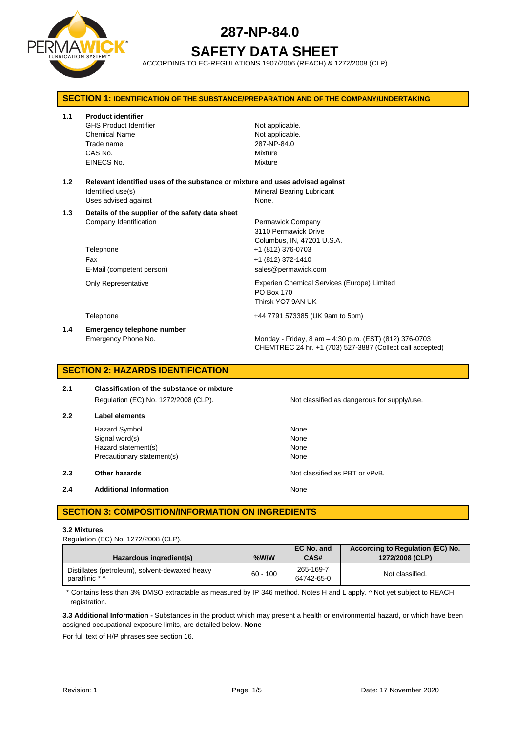

# **SAFETY DATA SHEET**

ACCORDING TO EC-REGULATIONS 1907/2006 (REACH) & 1272/2008 (CLP)

| <b>SECTION 1: IDENTIFICATION OF THE SUBSTANCE/PREPARATION AND OF THE COMPANY/UNDERTAKING</b> |                                                                                                                            |                                                                                                                     |  |
|----------------------------------------------------------------------------------------------|----------------------------------------------------------------------------------------------------------------------------|---------------------------------------------------------------------------------------------------------------------|--|
| 1.1                                                                                          | <b>Product identifier</b><br><b>GHS Product Identifier</b><br><b>Chemical Name</b><br>Trade name<br>CAS No.<br>EINECS No.  | Not applicable.<br>Not applicable.<br>287-NP-84.0<br>Mixture<br>Mixture                                             |  |
| 1.2                                                                                          | Relevant identified uses of the substance or mixture and uses advised against<br>Identified use(s)<br>Uses advised against | <b>Mineral Bearing Lubricant</b><br>None.                                                                           |  |
| 1.3                                                                                          | Details of the supplier of the safety data sheet<br>Company Identification                                                 | Permawick Company<br>3110 Permawick Drive<br>Columbus, IN, 47201 U.S.A.                                             |  |
|                                                                                              | Telephone<br>Fax<br>E-Mail (competent person)                                                                              | +1 (812) 376-0703<br>+1 (812) 372-1410<br>sales@permawick.com                                                       |  |
|                                                                                              | <b>Only Representative</b>                                                                                                 | Experien Chemical Services (Europe) Limited<br>PO Box 170<br>Thirsk YO7 9AN UK                                      |  |
|                                                                                              | Telephone                                                                                                                  | +44 7791 573385 (UK 9am to 5pm)                                                                                     |  |
| 1.4                                                                                          | Emergency telephone number<br>Emergency Phone No.                                                                          | Monday - Friday, 8 am - 4:30 p.m. (EST) (812) 376-0703<br>CHEMTREC 24 hr. +1 (703) 527-3887 (Collect call accepted) |  |

# **SECTION 2: HAZARDS IDENTIFICATION**

| 2.1 | <b>Classification of the substance or mixture</b> |  |  |
|-----|---------------------------------------------------|--|--|
|     | Regulation (EC) No. 1272/2008 (CLP).              |  |  |
| 2.2 | Label elements                                    |  |  |

Hazard Symbol None Signal word(s) None Hazard statement(s) None Precautionary statement(s) None

**2.3 Other hazards Details According to the COVID-100 Motion COVID-100 Motion COVID-100 Motion COVID-100 Motion COVID-100 Motion COVID-100 Motion COVID-100 Motion COVID-100 Motion COVID-100 Motion COVID-100 Motion COVI** 

**2.4 Additional Information None** 

# **SECTION 3: COMPOSITION/INFORMATION ON INGREDIENTS**

### **3.2 Mixtures**

Regulation (EC) No. 1272/2008 (CLP).

| Hazardous ingredient(s)                                          | %W/W       | EC No. and<br>CAS#      | According to Regulation (EC) No.<br>1272/2008 (CLP) |
|------------------------------------------------------------------|------------|-------------------------|-----------------------------------------------------|
| Distillates (petroleum), solvent-dewaxed heavy<br>paraffinic * ^ | $60 - 100$ | 265-169-7<br>64742-65-0 | Not classified.                                     |

\* Contains less than 3% DMSO extractable as measured by IP 346 method. Notes H and L apply. ^ Not yet subject to REACH registration.

**3.3 Additional Information -** Substances in the product which may present a health or environmental hazard, or which have been assigned occupational exposure limits, are detailed below. **None**

For full text of H/P phrases see section 16.

Not classified as dangerous for supply/use.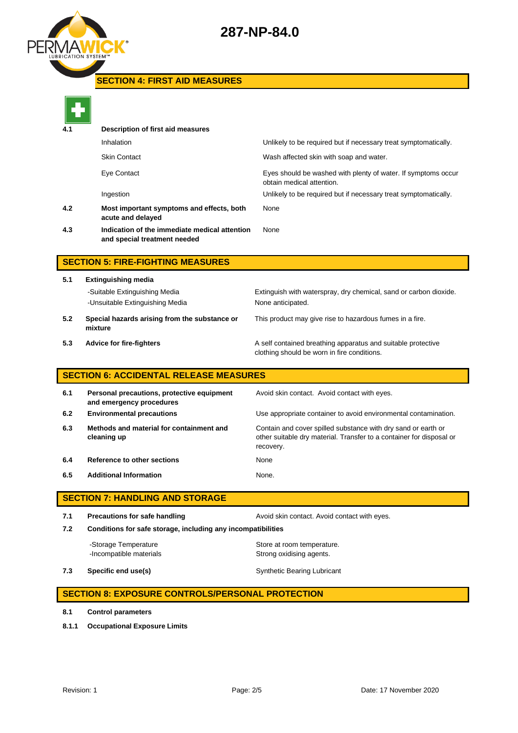

# **SECTION 4: FIRST AID MEASURES**



| Description of first aid measures                                             |                                                                                            |  |  |  |
|-------------------------------------------------------------------------------|--------------------------------------------------------------------------------------------|--|--|--|
| Inhalation                                                                    | Unlikely to be required but if necessary treat symptomatically.                            |  |  |  |
| <b>Skin Contact</b>                                                           | Wash affected skin with soap and water.                                                    |  |  |  |
| Eye Contact                                                                   | Eyes should be washed with plenty of water. If symptoms occur<br>obtain medical attention. |  |  |  |
| Ingestion                                                                     | Unlikely to be required but if necessary treat symptomatically.                            |  |  |  |
| Most important symptoms and effects, both<br>acute and delayed                | None                                                                                       |  |  |  |
| Indication of the immediate medical attention<br>and special treatment needed | None                                                                                       |  |  |  |
|                                                                               |                                                                                            |  |  |  |

# **SECTION 5: FIRE-FIGHTING MEASURES**

**5.1 Extinguishing media** -Unsuitable Extinguishing Media None anticipated. **5.2 Special hazards arising from the substance or mixture**

-Suitable Extinguishing Media Extinguish with waterspray, dry chemical, sand or carbon dioxide.

This product may give rise to hazardous fumes in a fire.

**5.3 Advice for fire-fighters A self** contained breathing apparatus and suitable protective clothing should be worn in fire conditions.

# **SECTION 6: ACCIDENTAL RELEASE MEASURES**

| 6.1 | Personal precautions, protective equipment<br>and emergency procedures | Avoid skin contact. Avoid contact with eyes.                                                                                                       |
|-----|------------------------------------------------------------------------|----------------------------------------------------------------------------------------------------------------------------------------------------|
| 6.2 | <b>Environmental precautions</b>                                       | Use appropriate container to avoid environmental contamination.                                                                                    |
| 6.3 | Methods and material for containment and<br>cleaning up                | Contain and cover spilled substance with dry sand or earth or<br>other suitable dry material. Transfer to a container for disposal or<br>recovery. |
| 6.4 | Reference to other sections                                            | None                                                                                                                                               |
| 6.5 | <b>Additional Information</b>                                          | None.                                                                                                                                              |

# **SECTION 7: HANDLING AND STORAGE**

**7.1 Precautions for safe handling Avoid skin contact. Avoid contact with eyes. 7.2 Conditions for safe storage, including any incompatibilities**

-Storage Temperature **Store at room temperature.** -Incompatible materials **Strong oxidising agents**.

**7.3 Specific end use(s)** Synthetic Bearing Lubricant

# **SECTION 8: EXPOSURE CONTROLS/PERSONAL PROTECTION**

- **8.1 Control parameters**
- **8.1.1 Occupational Exposure Limits**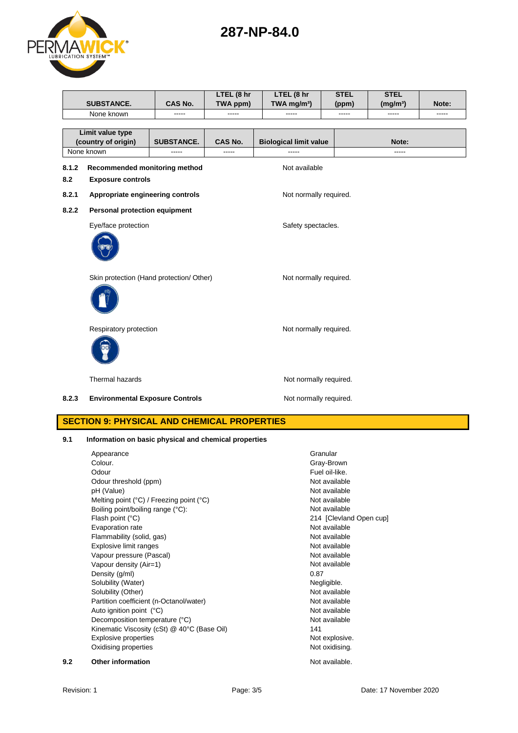8.2.3 **Environmental Exposure Controls** Mot normally required.

**SECTION 9: PHYSICAL AND CHEMICAL PROPERTIES**

# **9.1 Information on basic physical and chemical properties**



|                                                       | <b>SUBSTANCE.</b>                                                  | CAS No.                | LTEL (8 hr<br>TWA ppm) | LTEL (8 hr<br>TWA mg/m <sup>3</sup> ) | <b>STEL</b><br>(ppm) | <b>STEL</b><br>(mg/m <sup>3</sup> ) | Note: |
|-------------------------------------------------------|--------------------------------------------------------------------|------------------------|------------------------|---------------------------------------|----------------------|-------------------------------------|-------|
|                                                       | None known                                                         |                        | -----                  |                                       | -----                | -----                               | ----- |
| Limit value type<br>(country of origin)<br>None known |                                                                    | <b>SUBSTANCE.</b>      | CAS No.<br>-----       | <b>Biological limit value</b>         |                      | Note:<br>-----                      |       |
| 8.1.2<br>8.2                                          | Recommended monitoring method<br><b>Exposure controls</b>          |                        |                        | Not available                         |                      |                                     |       |
| 8.2.1                                                 | Appropriate engineering controls                                   | Not normally required. |                        |                                       |                      |                                     |       |
| 8.2.2                                                 | Personal protection equipment<br>Eye/face protection               | Safety spectacles.     |                        |                                       |                      |                                     |       |
|                                                       | Skin protection (Hand protection/ Other)<br>Not normally required. |                        |                        |                                       |                      |                                     |       |
|                                                       | Respiratory protection                                             |                        |                        | Not normally required.                |                      |                                     |       |

**287-NP-84.0**

Thermal hazards **Not normally required.** 

Appearance Granular Colour.<br>Colour. Colour Colour Colour Colour Colour Colour Colour Colour Colour Colour Colour Colour. Gray-Brown Fuel oil-like. Odour threshold (ppm) Not available pH (Value) Not available Melting point (°C) / Freezing point (°C) Not available Boiling point/boiling range (°C): Not available Flash point (°C) 214 [Clevland Open cup] Evaporation rate Not available Flammability (solid, gas) Not available Explosive limit ranges Not available Vapour pressure (Pascal) Vapour pressure (Pascal) Vapour density (Air=1) Not available Density (g/ml) 0.87 Solubility (Water) Negligible. Solubility (Other) Not available Partition coefficient (n-Octanol/water) Not available Auto ignition point (°C) and the contract of the Mot available Not available Decomposition temperature (°C) Not available Kinematic Viscosity (cSt) @ 40°C (Base Oil) 141 Explosive properties Not explosive. Oxidising properties Not oxidising.

**9.2 Other information 19.2 Other information**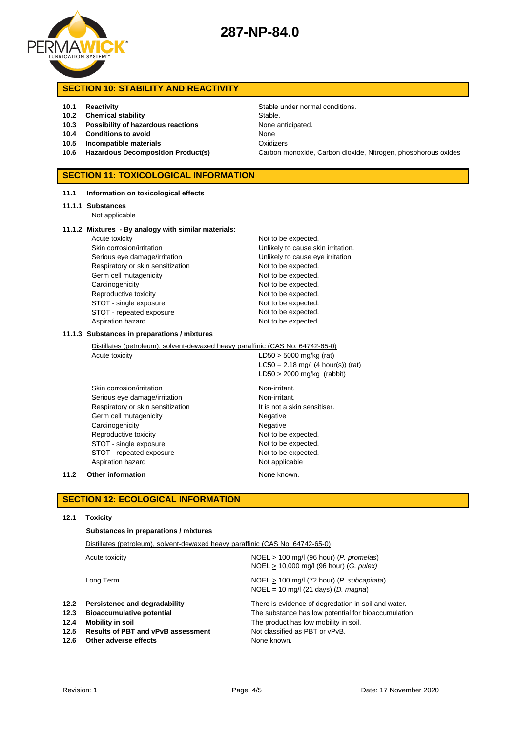

# **SECTION 10: STABILITY AND REACTIVITY**

- **10.2 Chemical stability** Stable.
- **10.3 Possibility of hazardous reactions** None anticipated.
- **10.4 Conditions to avoid** None
- **10.5 Incompatible materials** Oxidizers
- 

### **SECTION 11: TOXICOLOGICAL INFORMATION**

#### **11.1 Information on toxicological effects**

#### **11.1.1 Substances**

Not applicable

#### **11.1.2 Mixtures - By analogy with similar materials:**

Acute toxicity and the expected. Skin corrosion/irritation **Vertilian Corrosion/intervalue Corrosion**/irritation. Serious eye damage/irritation **Exercise 20** Unlikely to cause eye irritation. Respiratory or skin sensitization Not to be expected. Germ cell mutagenicity **Not to be expected.** Carcinogenicity **Not to be expected.** Reproductive toxicity Not to be expected. STOT - single exposure Not to be expected. STOT - repeated exposure Not to be expected. Aspiration hazard Not to be expected.

#### **11.1.3 Substances in preparations / mixtures**

Distillates (petroleum), solvent-dewaxed heavy paraffinic (CAS No. 64742-65-0)

Acute toxicity  $LD50 > 5000$  mg/kg (rat)  $LC50 = 2.18$  mg/l (4 hour(s)) (rat) LD50 > 2000 mg/kg (rabbit)

Skin corrosion/irritation Non-irritant. Serious eye damage/irritation Non-irritant. Respiratory or skin sensitization It is not a skin sensitiser. Germ cell mutagenicity **Negative** Negative Carcinogenicity **Negative** Negative Reproductive toxicity Not to be expected. STOT - single exposure Not to be expected. STOT - repeated exposure Not to be expected. Aspiration hazard Not applicable

#### **11.2 Other information None known.**

## **SECTION 12: ECOLOGICAL INFORMATION**

### **12.1 Toxicity**

### **Substances in preparations / mixtures**

|                                      | Distillates (petroleum), solvent-dewaxed heavy paraffinic (CAS No. 64742-65-0)                                                                              |                                                                                                                                                                                                       |  |  |
|--------------------------------------|-------------------------------------------------------------------------------------------------------------------------------------------------------------|-------------------------------------------------------------------------------------------------------------------------------------------------------------------------------------------------------|--|--|
|                                      | Acute toxicity                                                                                                                                              | $NOEL > 100$ mg/l (96 hour) (P. promelas)<br>NOEL > 10,000 mg/l (96 hour) (G. pulex)                                                                                                                  |  |  |
|                                      | Long Term                                                                                                                                                   | $NOEL > 100$ mg/l (72 hour) (P. subcapitata)<br>$NOEL = 10$ mg/l (21 days) (D. magna)                                                                                                                 |  |  |
| 12.2<br>12.3<br>12.4<br>12.5<br>12.6 | Persistence and degradability<br><b>Bioaccumulative potential</b><br>Mobility in soil<br><b>Results of PBT and vPvB assessment</b><br>Other adverse effects | There is evidence of degredation in soil and water.<br>The substance has low potential for bioaccumulation.<br>The product has low mobility in soil.<br>Not classified as PBT or vPvB.<br>None known. |  |  |

**10.1 Reactivity 10.1 Reactivity 10.1 Reactivity Stable under normal conditions. 10.6 Hazardous Decomposition Product(s)** Carbon monoxide, Carbon dioxide, Nitrogen, phosphorous oxides